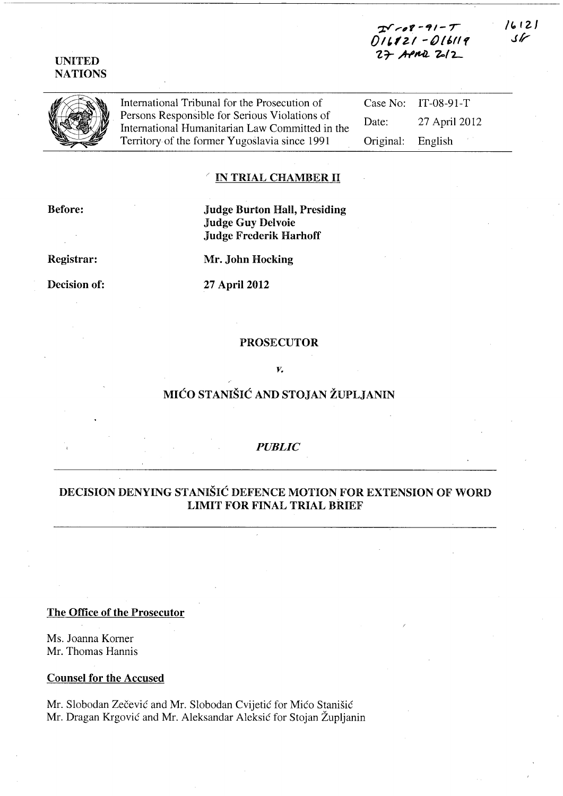## UNITED **NATIONS**

International Tribunal for the Prosecution of Persons Responsible for Serious Violations of International Humanitarian Law Committed in the Territory of the former Yugoslavia since 1991

Case No: IT-08-91-T Date: 27 April 2012 Original: English

 $-2 - 7$ 016121 - 016119  $27$  APMI  $2/2$ 

#### IN TRIAL CHAMBER II

Before:

## Judge Burton Hall, Presiding Judge Guy Delvoie Judge Frederik Harhoff

Registrar:

Mr. John Hocking

Decision of:

27 April 2012

#### PROSECUTOR

V.

# MIĆO STANIŠIĆ AND STOJAN ŽUPLJANIN

### *PUBLIC*

## DECISION DENYING STANIŠIĆ DEFENCE MOTION FOR EXTENSION OF WORD LIMIT FOR FINAL TRIAL BRIEF

The Office of the Prosecutor

Ms. Joanna Korner Mr. Thomas Hannis

Counsel for the Accused

Mr. Slobodan Zečević and Mr. Slobodan Cvijetić for Mićo Stanišić Mr. Dragan Krgović and Mr. Aleksandar Aleksić for Stojan Župljanin  $16121$  $\sqrt{}$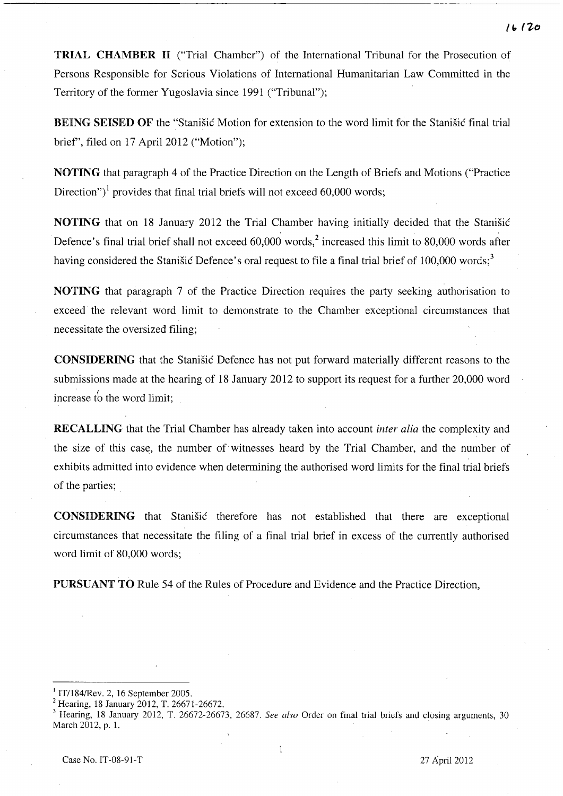TRIAL CHAMBER II ("Trial Chamber") of the International Tribunal for the Prosecution of Persons Responsible for Serious Violations of International Humanitarian Law Committed in the Territory of the former Yugoslavia since 1991 ("Tribunal");

BEING SEISED OF the "Stanišić Motion for extension to the word limit for the Stanišić final trial brief', filed on 17 April 2012 ("Motion");

NOTING that paragraph 4 of the Practice Direction on the Length of Briefs and Motions ("Practice Direction")<sup>1</sup> provides that final trial briefs will not exceed 60,000 words;

NOTING that on 18 January 2012 the Trial Chamber having initially decided that the Stanišić Defence's final trial brief shall not exceed  $60,000$  words,<sup>2</sup> increased this limit to 80,000 words after having considered the Stanišić Defence's oral request to file a final trial brief of 100,000 words;<sup>3</sup>

NOTING that paragraph 7 of the Practice Direction requires the party seeking authorisation to exceed the relevant word limit to demonstrate to the Chamber exceptional circumstances that necessitate the oversized filing;

CONSIDERING that the Stanišić Defence has not put forward materially different reasons to the submissions made at the hearing of 18 January 2012 to support its request for a further 20,000 word increase to the word limit;

RECALLING that the Trial Chamber has already taken into account *inter alia* the complexity and the size of this case, the number of witnesses heard by the Trial Chamber, and the number of exhibits admitted into evidence when determining the authorised word limits for the final trial briefs of the parties;

CONSIDERING that Stanišić therefore has not established that there are exceptional circumstances that necessitate the filing of a final trial brief in excess of the currently authorised word limit of 80,000 words;

PURSUANT TO Rule 54 of the Rules of Procedure and Evidence and the Practice Direction,

1

<sup>I</sup>IT/184/Rev. 2, 16 September 2005.

<sup>2</sup> Hearing, 18 January 2012, T. 26671-26672.

<sup>3</sup> Hearing, 18 January 2012, T. 26672-26673, 26687. *See also* Order on final trial briefs and closing arguments, 30 March 2012, p. 1.